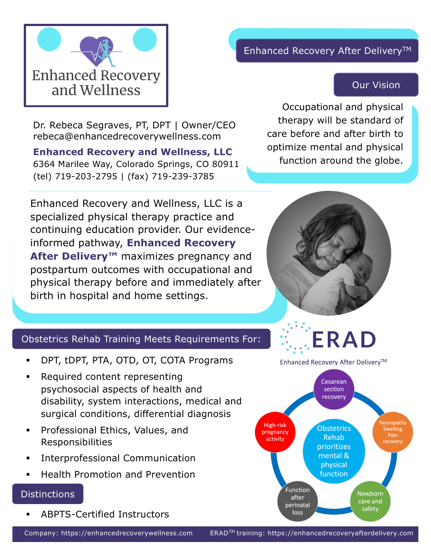

# Enhanced Recovery After Delivery<sup>™</sup>

# Our Vision

Dr. Rebeca Segraves, PT, DPT | Owner/CEO rebeca@enhancedrecoverywellness.com

**Enhanced Recovery and Wellness, LLC** 6364 Marilee Way, Colorado Springs, CO 80911 (tel) 719-203-2795 | (fax) 719-239-3785

Enhanced Recovery and Wellness, LLC is a specialized physical therapy practice and continuing education provider. Our evidenceinformed pathway, **Enhanced Recovery After Delivery™** maximizes pregnancy and postpartum outcomes with occupational and physical therapy before and immediately after birth in hospital and home settings.

Occupational and physical therapy will be standard of care before and after birth to optimize mental and physical function around the globe.



### Obstetrics Rehab Training Meets Requirements For:

- § DPT, tDPT, PTA, OTD, OT, COTA Programs
- Required content representing psychosocial aspects of health and disability, system interactions, medical and surgical conditions, differential diagnosis
- § Professional Ethics, Values, and Responsibilities
- Interprofessional Communication
- § Health Promotion and Prevention

#### Distinctions

§ ABPTS-Certified Instructors

Enhanced Recovery After Delivery™



Company: https://enhancedrecoverywellness.com ERADTM training: https://enhancedrecoveryafterdelivery.com